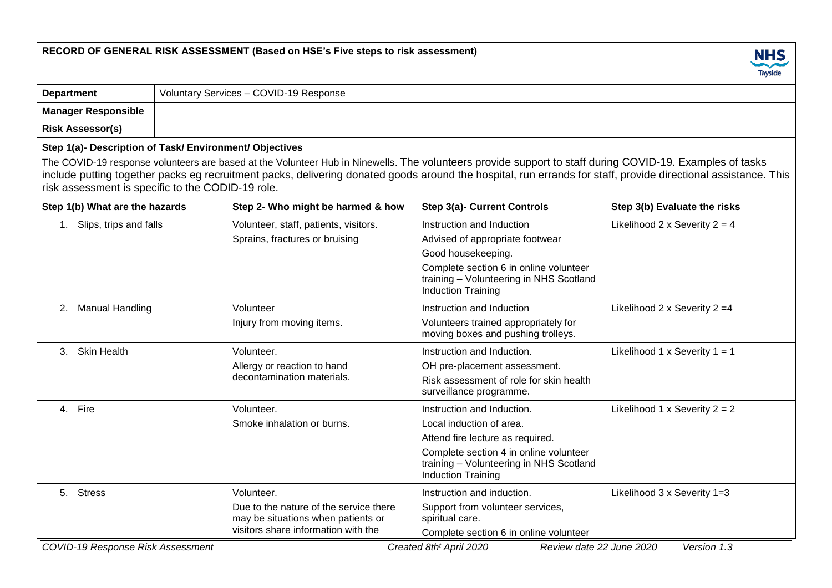|                                                                                                              |  | RECORD OF GENERAL RISK ASSESSMENT (Based on HSE's Five steps to risk assessment)                                                  |                                                                                                                                                                                                                                                                                                                            | <b>NHS</b><br>Tayside                  |  |  |
|--------------------------------------------------------------------------------------------------------------|--|-----------------------------------------------------------------------------------------------------------------------------------|----------------------------------------------------------------------------------------------------------------------------------------------------------------------------------------------------------------------------------------------------------------------------------------------------------------------------|----------------------------------------|--|--|
| <b>Department</b>                                                                                            |  |                                                                                                                                   |                                                                                                                                                                                                                                                                                                                            |                                        |  |  |
| <b>Manager Responsible</b>                                                                                   |  |                                                                                                                                   |                                                                                                                                                                                                                                                                                                                            |                                        |  |  |
| <b>Risk Assessor(s)</b>                                                                                      |  |                                                                                                                                   |                                                                                                                                                                                                                                                                                                                            |                                        |  |  |
| Step 1(a)- Description of Task/ Environment/ Objectives<br>risk assessment is specific to the CODID-19 role. |  |                                                                                                                                   | The COVID-19 response volunteers are based at the Volunteer Hub in Ninewells. The volunteers provide support to staff during COVID-19. Examples of tasks<br>include putting together packs eg recruitment packs, delivering donated goods around the hospital, run errands for staff, provide directional assistance. This |                                        |  |  |
| Step 1(b) What are the hazards                                                                               |  | Step 2- Who might be harmed & how                                                                                                 | <b>Step 3(a)- Current Controls</b>                                                                                                                                                                                                                                                                                         | Step 3(b) Evaluate the risks           |  |  |
| 1. Slips, trips and falls                                                                                    |  | Volunteer, staff, patients, visitors.<br>Sprains, fractures or bruising                                                           | Instruction and Induction<br>Advised of appropriate footwear<br>Good housekeeping.<br>Complete section 6 in online volunteer<br>training - Volunteering in NHS Scotland<br><b>Induction Training</b>                                                                                                                       | Likelihood 2 x Severity $2 = 4$        |  |  |
| 2. Manual Handling                                                                                           |  | Volunteer<br>Injury from moving items.                                                                                            | Instruction and Induction<br>Volunteers trained appropriately for<br>moving boxes and pushing trolleys.                                                                                                                                                                                                                    | Likelihood 2 x Severity 2 = 4          |  |  |
| 3. Skin Health                                                                                               |  | Volunteer.<br>Allergy or reaction to hand<br>decontamination materials.                                                           | Instruction and Induction.<br>OH pre-placement assessment.<br>Risk assessment of role for skin health<br>surveillance programme.                                                                                                                                                                                           | Likelihood $1 \times$ Severity $1 = 1$ |  |  |
| 4. Fire                                                                                                      |  | Volunteer.<br>Smoke inhalation or burns.                                                                                          | Instruction and Induction.<br>Local induction of area.<br>Attend fire lecture as required.<br>Complete section 4 in online volunteer<br>training - Volunteering in NHS Scotland<br><b>Induction Training</b>                                                                                                               | Likelihood 1 x Severity $2 = 2$        |  |  |
| 5. Stress                                                                                                    |  | Volunteer.<br>Due to the nature of the service there<br>may be situations when patients or<br>visitors share information with the | Instruction and induction.<br>Support from volunteer services,<br>spiritual care.<br>Complete section 6 in online volunteer                                                                                                                                                                                                | Likelihood 3 x Severity 1=3            |  |  |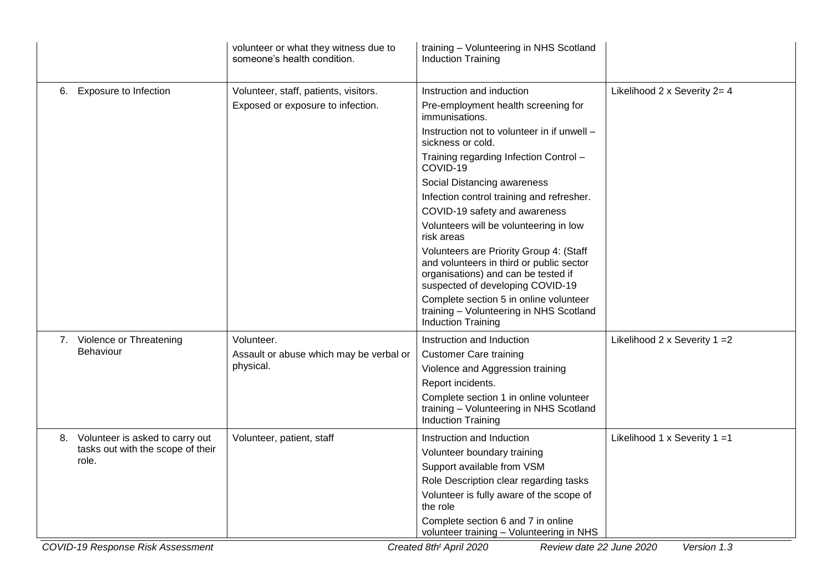|                                       | volunteer or what they witness due to<br>someone's health condition. | training - Volunteering in NHS Scotland<br><b>Induction Training</b>                                                                                           |                                        |  |  |
|---------------------------------------|----------------------------------------------------------------------|----------------------------------------------------------------------------------------------------------------------------------------------------------------|----------------------------------------|--|--|
| <b>Exposure to Infection</b><br>6.    | Volunteer, staff, patients, visitors.                                | Instruction and induction                                                                                                                                      | Likelihood 2 x Severity 2= 4           |  |  |
|                                       | Exposed or exposure to infection.                                    | Pre-employment health screening for<br>immunisations.                                                                                                          |                                        |  |  |
|                                       |                                                                      | Instruction not to volunteer in if unwell -<br>sickness or cold.                                                                                               |                                        |  |  |
|                                       |                                                                      | Training regarding Infection Control -<br>COVID-19                                                                                                             |                                        |  |  |
|                                       |                                                                      | Social Distancing awareness                                                                                                                                    |                                        |  |  |
|                                       |                                                                      | Infection control training and refresher.                                                                                                                      |                                        |  |  |
|                                       |                                                                      | COVID-19 safety and awareness                                                                                                                                  |                                        |  |  |
|                                       |                                                                      | Volunteers will be volunteering in low<br>risk areas                                                                                                           |                                        |  |  |
|                                       |                                                                      | Volunteers are Priority Group 4: (Staff<br>and volunteers in third or public sector<br>organisations) and can be tested if<br>suspected of developing COVID-19 |                                        |  |  |
|                                       |                                                                      | Complete section 5 in online volunteer<br>training - Volunteering in NHS Scotland<br><b>Induction Training</b>                                                 |                                        |  |  |
| 7. Violence or Threatening            | Volunteer.                                                           | Instruction and Induction                                                                                                                                      | Likelihood $2 \times$ Severity $1 = 2$ |  |  |
| Behaviour                             | Assault or abuse which may be verbal or                              | <b>Customer Care training</b>                                                                                                                                  |                                        |  |  |
|                                       | physical.                                                            | Violence and Aggression training                                                                                                                               |                                        |  |  |
|                                       |                                                                      | Report incidents.                                                                                                                                              |                                        |  |  |
|                                       |                                                                      | Complete section 1 in online volunteer<br>training - Volunteering in NHS Scotland<br><b>Induction Training</b>                                                 |                                        |  |  |
| Volunteer is asked to carry out<br>8. | Volunteer, patient, staff                                            | Instruction and Induction                                                                                                                                      | Likelihood 1 x Severity 1 = 1          |  |  |
| tasks out with the scope of their     |                                                                      | Volunteer boundary training                                                                                                                                    |                                        |  |  |
| role.                                 |                                                                      | Support available from VSM                                                                                                                                     |                                        |  |  |
|                                       |                                                                      | Role Description clear regarding tasks                                                                                                                         |                                        |  |  |
|                                       |                                                                      | Volunteer is fully aware of the scope of<br>the role                                                                                                           |                                        |  |  |
|                                       |                                                                      | Complete section 6 and 7 in online<br>volunteer training - Volunteering in NHS                                                                                 |                                        |  |  |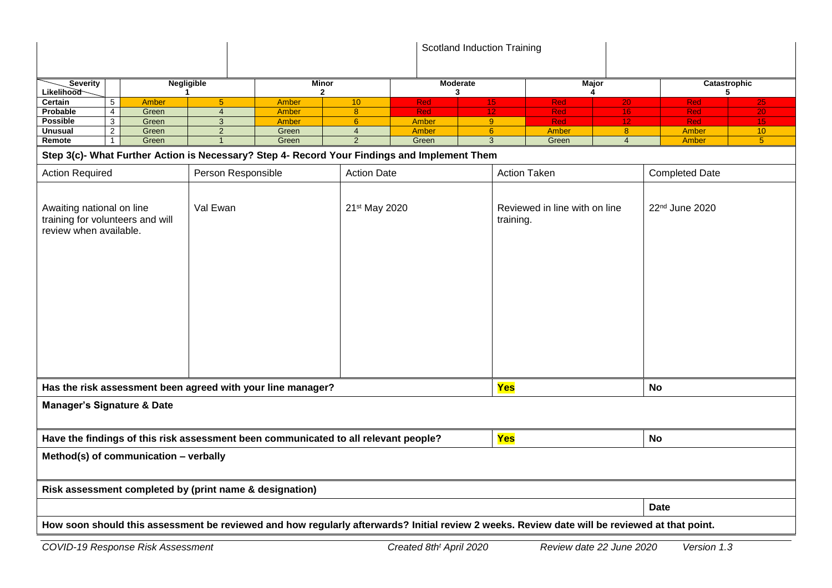|                                                                                                                                               |                         |                   |                |               |                                          |                |                                            | Scotland Induction Training |                 |              |                                    |            |                        |
|-----------------------------------------------------------------------------------------------------------------------------------------------|-------------------------|-------------------|----------------|---------------|------------------------------------------|----------------|--------------------------------------------|-----------------------------|-----------------|--------------|------------------------------------|------------|------------------------|
| Severity                                                                                                                                      |                         | <b>Negligible</b> |                |               | Minor                                    |                |                                            | Moderate                    |                 | <b>Major</b> |                                    |            | Catastrophic           |
| <b>Likelihood</b><br>Certain                                                                                                                  | 5                       | <b>Amber</b>      | 5 <sup>5</sup> |               | $\mathbf{2}$<br>Amber                    | 10             | <b>Red</b>                                 | 3                           | 15 <sub>1</sub> | <b>Red</b>   | 4                                  | <b>Red</b> | 5                      |
| Probable                                                                                                                                      | $\overline{\mathbf{4}}$ | Green             | $\overline{4}$ |               | Amber                                    | $\bf 8$        | <b>Red</b>                                 |                             | 12.             | Red          | 20 <sub>1</sub><br>16 <sup>°</sup> | Red        | $25\overline{)}$<br>20 |
| <b>Possible</b>                                                                                                                               | 3                       | Green             | 3              |               | <b>Amber</b>                             | $6\phantom{a}$ | <b>Amber</b>                               |                             | 9               | Red          | 12                                 | Red        | 15                     |
| <b>Unusual</b>                                                                                                                                | $\overline{2}$          | Green             | $\overline{2}$ |               | Green                                    | $\overline{4}$ | Amber                                      |                             | 6 <sup>°</sup>  | Amber        | 8 <sup>°</sup>                     | Amber      | 10                     |
| Remote                                                                                                                                        | $\mathbf{1}$            | Green             | $\overline{1}$ |               | Green                                    | $\overline{2}$ | Green                                      |                             | 3               | Green        | $\overline{4}$                     | Amber      | $\overline{5}$         |
| Step 3(c)- What Further Action is Necessary? Step 4- Record Your Findings and Implement Them                                                  |                         |                   |                |               |                                          |                |                                            |                             |                 |              |                                    |            |                        |
| <b>Action Required</b>                                                                                                                        |                         |                   |                |               | Person Responsible<br><b>Action Date</b> |                |                                            | <b>Action Taken</b>         |                 |              | <b>Completed Date</b>              |            |                        |
| Awaiting national on line<br>Val Ewan<br>training for volunteers and will<br>review when available.                                           |                         |                   |                | 21st May 2020 |                                          |                | Reviewed in line with on line<br>training. |                             | 22nd June 2020  |              |                                    |            |                        |
| Yes<br>Has the risk assessment been agreed with your line manager?                                                                            |                         |                   |                |               |                                          |                |                                            | <b>No</b>                   |                 |              |                                    |            |                        |
| <b>Manager's Signature &amp; Date</b>                                                                                                         |                         |                   |                |               |                                          |                |                                            |                             |                 |              |                                    |            |                        |
| Yes<br><b>No</b><br>Have the findings of this risk assessment been communicated to all relevant people?                                       |                         |                   |                |               |                                          |                |                                            |                             |                 |              |                                    |            |                        |
| Method(s) of communication - verbally                                                                                                         |                         |                   |                |               |                                          |                |                                            |                             |                 |              |                                    |            |                        |
| Risk assessment completed by (print name & designation)                                                                                       |                         |                   |                |               |                                          |                |                                            |                             |                 |              |                                    |            |                        |
|                                                                                                                                               |                         |                   |                |               |                                          |                |                                            | <b>Date</b>                 |                 |              |                                    |            |                        |
| How soon should this assessment be reviewed and how regularly afterwards? Initial review 2 weeks. Review date will be reviewed at that point. |                         |                   |                |               |                                          |                |                                            |                             |                 |              |                                    |            |                        |